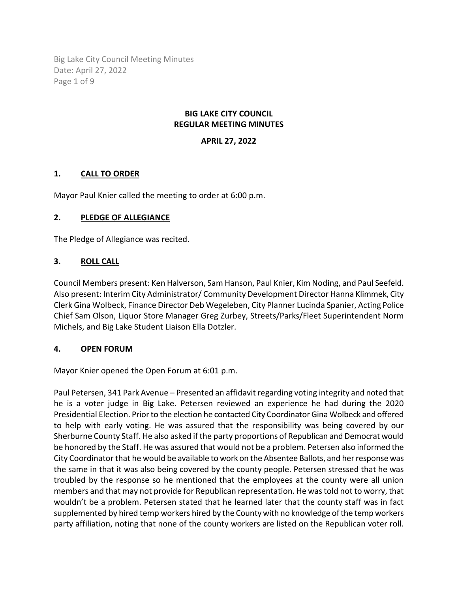Big Lake City Council Meeting Minutes Date: April 27, 2022 Page 1 of 9

### **BIG LAKE CITY COUNCIL REGULAR MEETING MINUTES**

## **APRIL 27, 2022**

### **1. CALL TO ORDER**

Mayor Paul Knier called the meeting to order at 6:00 p.m.

### **2. PLEDGE OF ALLEGIANCE**

The Pledge of Allegiance was recited.

### **3. ROLL CALL**

Council Members present: Ken Halverson, Sam Hanson, Paul Knier, Kim Noding, and Paul Seefeld. Also present: Interim City Administrator/ Community Development Director Hanna Klimmek, City Clerk Gina Wolbeck, Finance Director Deb Wegeleben, City Planner Lucinda Spanier, Acting Police Chief Sam Olson, Liquor Store Manager Greg Zurbey, Streets/Parks/Fleet Superintendent Norm Michels, and Big Lake Student Liaison Ella Dotzler.

### **4. OPEN FORUM**

Mayor Knier opened the Open Forum at 6:01 p.m.

Paul Petersen, 341 Park Avenue – Presented an affidavit regarding voting integrity and noted that he is a voter judge in Big Lake. Petersen reviewed an experience he had during the 2020 Presidential Election. Prior to the election he contacted City Coordinator Gina Wolbeck and offered to help with early voting. He was assured that the responsibility was being covered by our Sherburne County Staff. He also asked if the party proportions of Republican and Democrat would be honored by the Staff. He was assured that would not be a problem. Petersen also informed the City Coordinator that he would be available to work on the Absentee Ballots, and her response was the same in that it was also being covered by the county people. Petersen stressed that he was troubled by the response so he mentioned that the employees at the county were all union members and that may not provide for Republican representation. He was told not to worry, that wouldn't be a problem. Petersen stated that he learned later that the county staff was in fact supplemented by hired temp workers hired by the County with no knowledge of the temp workers party affiliation, noting that none of the county workers are listed on the Republican voter roll.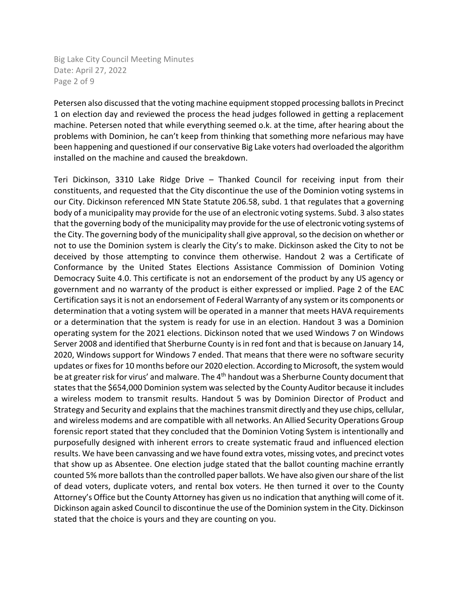Big Lake City Council Meeting Minutes Date: April 27, 2022 Page 2 of 9

Petersen also discussed that the voting machine equipment stopped processing ballots in Precinct 1 on election day and reviewed the process the head judges followed in getting a replacement machine. Petersen noted that while everything seemed o.k. at the time, after hearing about the problems with Dominion, he can't keep from thinking that something more nefarious may have been happening and questioned if our conservative Big Lake voters had overloaded the algorithm installed on the machine and caused the breakdown.

Teri Dickinson, 3310 Lake Ridge Drive – Thanked Council for receiving input from their constituents, and requested that the City discontinue the use of the Dominion voting systems in our City. Dickinson referenced MN State Statute 206.58, subd. 1 that regulates that a governing body of a municipality may provide for the use of an electronic voting systems. Subd. 3 also states that the governing body of the municipality may provide for the use of electronic voting systems of the City. The governing body of the municipality shall give approval, so the decision on whether or not to use the Dominion system is clearly the City's to make. Dickinson asked the City to not be deceived by those attempting to convince them otherwise. Handout 2 was a Certificate of Conformance by the United States Elections Assistance Commission of Dominion Voting Democracy Suite 4.0. This certificate is not an endorsement of the product by any US agency or government and no warranty of the product is either expressed or implied. Page 2 of the EAC Certification says it is not an endorsement of Federal Warranty of any system or its components or determination that a voting system will be operated in a manner that meets HAVA requirements or a determination that the system is ready for use in an election. Handout 3 was a Dominion operating system for the 2021 elections. Dickinson noted that we used Windows 7 on Windows Server 2008 and identified that Sherburne County is in red font and that is because on January 14, 2020, Windows support for Windows 7 ended. That means that there were no software security updates or fixes for 10 months before our 2020 election. According to Microsoft, the system would be at greater risk for virus' and malware. The 4<sup>th</sup> handout was a Sherburne County document that states that the \$654,000 Dominion system was selected by the County Auditor because it includes a wireless modem to transmit results. Handout 5 was by Dominion Director of Product and Strategy and Security and explains that the machines transmit directly and they use chips, cellular, and wireless modems and are compatible with all networks. An Allied Security Operations Group forensic report stated that they concluded that the Dominion Voting System is intentionally and purposefully designed with inherent errors to create systematic fraud and influenced election results. We have been canvassing and we have found extra votes, missing votes, and precinct votes that show up as Absentee. One election judge stated that the ballot counting machine errantly counted 5% more ballots than the controlled paper ballots. We have also given our share of the list of dead voters, duplicate voters, and rental box voters. He then turned it over to the County Attorney's Office but the County Attorney has given us no indication that anything will come of it. Dickinson again asked Council to discontinue the use of the Dominion system in the City. Dickinson stated that the choice is yours and they are counting on you.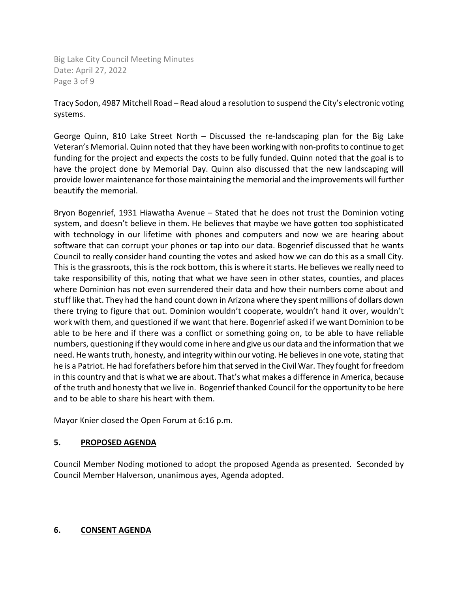Big Lake City Council Meeting Minutes Date: April 27, 2022 Page 3 of 9

Tracy Sodon, 4987 Mitchell Road – Read aloud a resolution to suspend the City's electronic voting systems.

George Quinn, 810 Lake Street North – Discussed the re-landscaping plan for the Big Lake Veteran's Memorial. Quinn noted that they have been working with non-profits to continue to get funding for the project and expects the costs to be fully funded. Quinn noted that the goal is to have the project done by Memorial Day. Quinn also discussed that the new landscaping will provide lower maintenance for those maintaining the memorial and the improvements will further beautify the memorial.

Bryon Bogenrief, 1931 Hiawatha Avenue – Stated that he does not trust the Dominion voting system, and doesn't believe in them. He believes that maybe we have gotten too sophisticated with technology in our lifetime with phones and computers and now we are hearing about software that can corrupt your phones or tap into our data. Bogenrief discussed that he wants Council to really consider hand counting the votes and asked how we can do this as a small City. This is the grassroots, this is the rock bottom, this is where it starts. He believes we really need to take responsibility of this, noting that what we have seen in other states, counties, and places where Dominion has not even surrendered their data and how their numbers come about and stuff like that. They had the hand count down in Arizona where they spent millions of dollars down there trying to figure that out. Dominion wouldn't cooperate, wouldn't hand it over, wouldn't work with them, and questioned if we want that here. Bogenrief asked if we want Dominion to be able to be here and if there was a conflict or something going on, to be able to have reliable numbers, questioning if they would come in here and give us our data and the information that we need. He wants truth, honesty, and integrity within our voting. He believes in one vote, stating that he is a Patriot. He had forefathers before him that served in the Civil War. They fought for freedom in this country and that is what we are about. That's what makes a difference in America, because of the truth and honesty that we live in. Bogenrief thanked Council for the opportunity to be here and to be able to share his heart with them.

Mayor Knier closed the Open Forum at 6:16 p.m.

## **5. PROPOSED AGENDA**

Council Member Noding motioned to adopt the proposed Agenda as presented. Seconded by Council Member Halverson, unanimous ayes, Agenda adopted.

### **6. CONSENT AGENDA**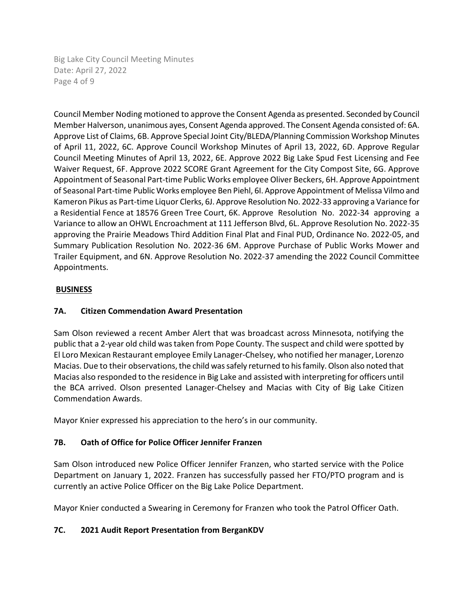Big Lake City Council Meeting Minutes Date: April 27, 2022 Page 4 of 9

Council Member Noding motioned to approve the Consent Agenda as presented. Seconded by Council Member Halverson, unanimous ayes, Consent Agenda approved. The Consent Agenda consisted of: 6A. Approve List of Claims, 6B. Approve Special Joint City/BLEDA/Planning Commission Workshop Minutes of April 11, 2022, 6C. Approve Council Workshop Minutes of April 13, 2022, 6D. Approve Regular Council Meeting Minutes of April 13, 2022, 6E. Approve 2022 Big Lake Spud Fest Licensing and Fee Waiver Request, 6F. Approve 2022 SCORE Grant Agreement for the City Compost Site, 6G. Approve Appointment of Seasonal Part-time Public Works employee Oliver Beckers, 6H. Approve Appointment of Seasonal Part-time Public Works employee Ben Piehl, 6I. Approve Appointment of Melissa Vilmo and Kameron Pikus as Part-time Liquor Clerks, 6J. Approve Resolution No. 2022-33 approving a Variance for a Residential Fence at 18576 Green Tree Court, 6K. Approve Resolution No. 2022-34 approving a Variance to allow an OHWL Encroachment at 111 Jefferson Blvd, 6L. Approve Resolution No. 2022-35 approving the Prairie Meadows Third Addition Final Plat and Final PUD, Ordinance No. 2022-05, and Summary Publication Resolution No. 2022-36 6M. Approve Purchase of Public Works Mower and Trailer Equipment, and 6N. Approve Resolution No. 2022-37 amending the 2022 Council Committee Appointments.

# **BUSINESS**

## **7A. Citizen Commendation Award Presentation**

Sam Olson reviewed a recent Amber Alert that was broadcast across Minnesota, notifying the public that a 2-year old child was taken from Pope County. The suspect and child were spotted by El Loro Mexican Restaurant employee Emily Lanager-Chelsey, who notified her manager, Lorenzo Macias. Due to their observations, the child was safely returned to his family. Olson also noted that Macias also responded to the residence in Big Lake and assisted with interpreting for officers until the BCA arrived. Olson presented Lanager-Chelsey and Macias with City of Big Lake Citizen Commendation Awards.

Mayor Knier expressed his appreciation to the hero's in our community.

# **7B. Oath of Office for Police Officer Jennifer Franzen**

Sam Olson introduced new Police Officer Jennifer Franzen, who started service with the Police Department on January 1, 2022. Franzen has successfully passed her FTO/PTO program and is currently an active Police Officer on the Big Lake Police Department.

Mayor Knier conducted a Swearing in Ceremony for Franzen who took the Patrol Officer Oath.

# **7C. 2021 Audit Report Presentation from BerganKDV**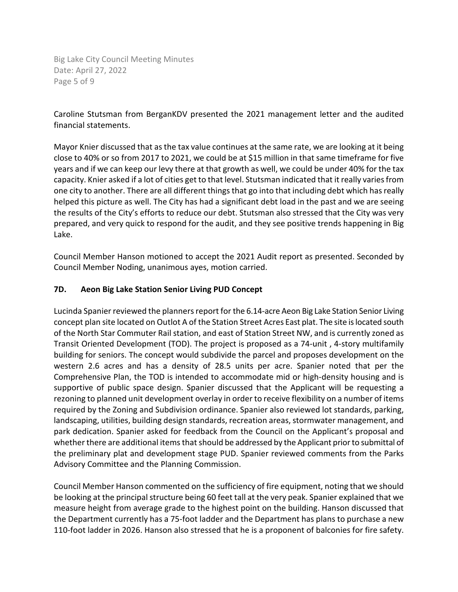Big Lake City Council Meeting Minutes Date: April 27, 2022 Page 5 of 9

Caroline Stutsman from BerganKDV presented the 2021 management letter and the audited financial statements.

Mayor Knier discussed that as the tax value continues at the same rate, we are looking at it being close to 40% or so from 2017 to 2021, we could be at \$15 million in that same timeframe for five years and if we can keep our levy there at that growth as well, we could be under 40% for the tax capacity. Knier asked if a lot of cities get to that level. Stutsman indicated that it really varies from one city to another. There are all different things that go into that including debt which has really helped this picture as well. The City has had a significant debt load in the past and we are seeing the results of the City's efforts to reduce our debt. Stutsman also stressed that the City was very prepared, and very quick to respond for the audit, and they see positive trends happening in Big Lake.

Council Member Hanson motioned to accept the 2021 Audit report as presented. Seconded by Council Member Noding, unanimous ayes, motion carried.

### **7D. Aeon Big Lake Station Senior Living PUD Concept**

Lucinda Spanier reviewed the planners report for the 6.14-acre Aeon Big Lake Station Senior Living concept plan site located on Outlot A of the Station Street Acres East plat. The site is located south of the North Star Commuter Rail station, and east of Station Street NW, and is currently zoned as Transit Oriented Development (TOD). The project is proposed as a 74-unit , 4-story multifamily building for seniors. The concept would subdivide the parcel and proposes development on the western 2.6 acres and has a density of 28.5 units per acre. Spanier noted that per the Comprehensive Plan, the TOD is intended to accommodate mid or high-density housing and is supportive of public space design. Spanier discussed that the Applicant will be requesting a rezoning to planned unit development overlay in order to receive flexibility on a number of items required by the Zoning and Subdivision ordinance. Spanier also reviewed lot standards, parking, landscaping, utilities, building design standards, recreation areas, stormwater management, and park dedication. Spanier asked for feedback from the Council on the Applicant's proposal and whether there are additional items that should be addressed by the Applicant prior to submittal of the preliminary plat and development stage PUD. Spanier reviewed comments from the Parks Advisory Committee and the Planning Commission.

Council Member Hanson commented on the sufficiency of fire equipment, noting that we should be looking at the principal structure being 60 feet tall at the very peak. Spanier explained that we measure height from average grade to the highest point on the building. Hanson discussed that the Department currently has a 75-foot ladder and the Department has plans to purchase a new 110-foot ladder in 2026. Hanson also stressed that he is a proponent of balconies for fire safety.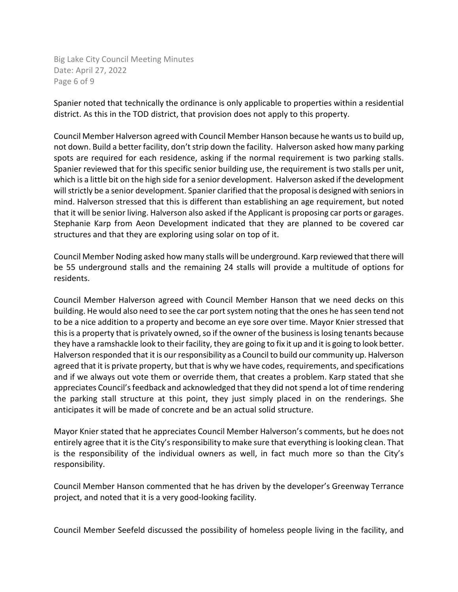Big Lake City Council Meeting Minutes Date: April 27, 2022 Page 6 of 9

Spanier noted that technically the ordinance is only applicable to properties within a residential district. As this in the TOD district, that provision does not apply to this property.

Council Member Halverson agreed with Council Member Hanson because he wants us to build up, not down. Build a better facility, don't strip down the facility. Halverson asked how many parking spots are required for each residence, asking if the normal requirement is two parking stalls. Spanier reviewed that for this specific senior building use, the requirement is two stalls per unit, which is a little bit on the high side for a senior development. Halverson asked if the development will strictly be a senior development. Spanier clarified that the proposal is designed with seniors in mind. Halverson stressed that this is different than establishing an age requirement, but noted that it will be senior living. Halverson also asked if the Applicant is proposing car ports or garages. Stephanie Karp from Aeon Development indicated that they are planned to be covered car structures and that they are exploring using solar on top of it.

Council Member Noding asked how many stalls will be underground. Karp reviewed that there will be 55 underground stalls and the remaining 24 stalls will provide a multitude of options for residents.

Council Member Halverson agreed with Council Member Hanson that we need decks on this building. He would also need to see the car port system noting that the ones he has seen tend not to be a nice addition to a property and become an eye sore over time. Mayor Knier stressed that this is a property that is privately owned, so if the owner of the business islosing tenants because they have a ramshackle look to their facility, they are going to fix it up and it is going to look better. Halverson responded that it is our responsibility as a Council to build our community up. Halverson agreed that it is private property, but that is why we have codes, requirements, and specifications and if we always out vote them or override them, that creates a problem. Karp stated that she appreciates Council's feedback and acknowledged that they did not spend a lot of time rendering the parking stall structure at this point, they just simply placed in on the renderings. She anticipates it will be made of concrete and be an actual solid structure.

Mayor Knier stated that he appreciates Council Member Halverson's comments, but he does not entirely agree that it is the City's responsibility to make sure that everything is looking clean. That is the responsibility of the individual owners as well, in fact much more so than the City's responsibility.

Council Member Hanson commented that he has driven by the developer's Greenway Terrance project, and noted that it is a very good-looking facility.

Council Member Seefeld discussed the possibility of homeless people living in the facility, and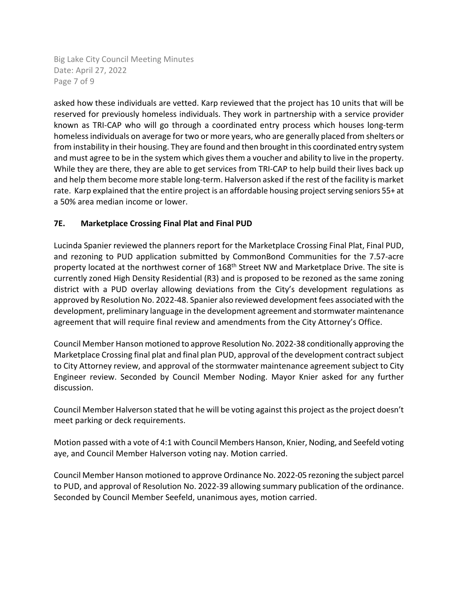Big Lake City Council Meeting Minutes Date: April 27, 2022 Page 7 of 9

asked how these individuals are vetted. Karp reviewed that the project has 10 units that will be reserved for previously homeless individuals. They work in partnership with a service provider known as TRI-CAP who will go through a coordinated entry process which houses long-term homeless individuals on average for two or more years, who are generally placed from shelters or from instability in their housing. They are found and then brought in this coordinated entry system and must agree to be in the system which gives them a voucher and ability to live in the property. While they are there, they are able to get services from TRI-CAP to help build their lives back up and help them become more stable long-term. Halverson asked if the rest of the facility is market rate. Karp explained that the entire project is an affordable housing project serving seniors 55+ at a 50% area median income or lower.

# **7E. Marketplace Crossing Final Plat and Final PUD**

Lucinda Spanier reviewed the planners report for the Marketplace Crossing Final Plat, Final PUD, and rezoning to PUD application submitted by CommonBond Communities for the 7.57-acre property located at the northwest corner of 168<sup>th</sup> Street NW and Marketplace Drive. The site is currently zoned High Density Residential (R3) and is proposed to be rezoned as the same zoning district with a PUD overlay allowing deviations from the City's development regulations as approved by Resolution No. 2022-48. Spanier also reviewed development fees associated with the development, preliminary language in the development agreement and stormwater maintenance agreement that will require final review and amendments from the City Attorney's Office.

Council Member Hanson motioned to approve Resolution No. 2022-38 conditionally approving the Marketplace Crossing final plat and final plan PUD, approval of the development contract subject to City Attorney review, and approval of the stormwater maintenance agreement subject to City Engineer review. Seconded by Council Member Noding. Mayor Knier asked for any further discussion.

Council Member Halverson stated that he will be voting against this project as the project doesn't meet parking or deck requirements.

Motion passed with a vote of 4:1 with Council Members Hanson, Knier, Noding, and Seefeld voting aye, and Council Member Halverson voting nay. Motion carried.

Council Member Hanson motioned to approve Ordinance No. 2022-05 rezoning the subject parcel to PUD, and approval of Resolution No. 2022-39 allowing summary publication of the ordinance. Seconded by Council Member Seefeld, unanimous ayes, motion carried.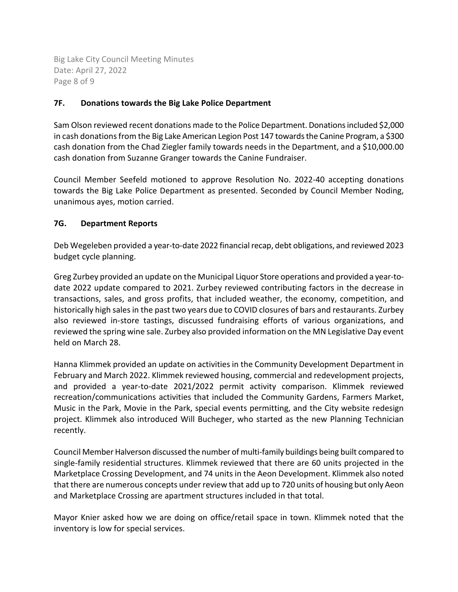Big Lake City Council Meeting Minutes Date: April 27, 2022 Page 8 of 9

## **7F. Donations towards the Big Lake Police Department**

Sam Olson reviewed recent donations made to the Police Department. Donations included \$2,000 in cash donations from the Big Lake American Legion Post 147 towards the Canine Program, a \$300 cash donation from the Chad Ziegler family towards needs in the Department, and a \$10,000.00 cash donation from Suzanne Granger towards the Canine Fundraiser.

Council Member Seefeld motioned to approve Resolution No. 2022-40 accepting donations towards the Big Lake Police Department as presented. Seconded by Council Member Noding, unanimous ayes, motion carried.

## **7G. Department Reports**

Deb Wegeleben provided a year-to-date 2022 financial recap, debt obligations, and reviewed 2023 budget cycle planning.

Greg Zurbey provided an update on the Municipal Liquor Store operations and provided a year-todate 2022 update compared to 2021. Zurbey reviewed contributing factors in the decrease in transactions, sales, and gross profits, that included weather, the economy, competition, and historically high sales in the past two years due to COVID closures of bars and restaurants. Zurbey also reviewed in-store tastings, discussed fundraising efforts of various organizations, and reviewed the spring wine sale. Zurbey also provided information on the MN Legislative Day event held on March 28.

Hanna Klimmek provided an update on activities in the Community Development Department in February and March 2022. Klimmek reviewed housing, commercial and redevelopment projects, and provided a year-to-date 2021/2022 permit activity comparison. Klimmek reviewed recreation/communications activities that included the Community Gardens, Farmers Market, Music in the Park, Movie in the Park, special events permitting, and the City website redesign project. Klimmek also introduced Will Bucheger, who started as the new Planning Technician recently.

Council Member Halverson discussed the number of multi-family buildings being built compared to single-family residential structures. Klimmek reviewed that there are 60 units projected in the Marketplace Crossing Development, and 74 units in the Aeon Development. Klimmek also noted that there are numerous concepts under review that add up to 720 units of housing but only Aeon and Marketplace Crossing are apartment structures included in that total.

Mayor Knier asked how we are doing on office/retail space in town. Klimmek noted that the inventory is low for special services.